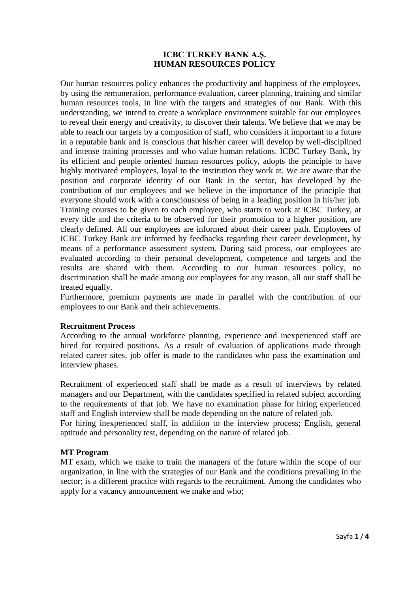#### **ICBC TURKEY BANK A.Ş. HUMAN RESOURCES POLICY**

Our human resources policy enhances the productivity and happiness of the employees, by using the remuneration, performance evaluation, career planning, training and similar human resources tools, in line with the targets and strategies of our Bank. With this understanding, we intend to create a workplace environment suitable for our employees to reveal their energy and creativity, to discover their talents. We believe that we may be able to reach our targets by a composition of staff, who considers it important to a future in a reputable bank and is conscious that his/her career will develop by well-disciplined and intense training processes and who value human relations. ICBC Turkey Bank, by its efficient and people oriented human resources policy, adopts the principle to have highly motivated employees, loyal to the institution they work at. We are aware that the position and corporate identity of our Bank in the sector, has developed by the contribution of our employees and we believe in the importance of the principle that everyone should work with a consciousness of being in a leading position in his/her job. Training courses to be given to each employee, who starts to work at ICBC Turkey, at every title and the criteria to be observed for their promotion to a higher position, are clearly defined. All our employees are informed about their career path. Employees of ICBC Turkey Bank are informed by feedbacks regarding their career development, by means of a performance assessment system. During said process, our employees are evaluated according to their personal development, competence and targets and the results are shared with them. According to our human resources policy, no discrimination shall be made among our employees for any reason, all our staff shall be treated equally.

Furthermore, premium payments are made in parallel with the contribution of our employees to our Bank and their achievements.

#### **Recruitment Process**

According to the annual workforce planning, experience and inexperienced staff are hired for required positions. As a result of evaluation of applications made through related career sites, job offer is made to the candidates who pass the examination and interview phases.

Recruitment of experienced staff shall be made as a result of interviews by related managers and our Department, with the candidates specified in related subject according to the requirements of that job. We have no examination phase for hiring experienced staff and English interview shall be made depending on the nature of related job.

For hiring inexperienced staff, in addition to the interview process; English, general aptitude and personality test, depending on the nature of related job.

#### **MT Program**

MT exam, which we make to train the managers of the future within the scope of our organization, in line with the strategies of our Bank and the conditions prevailing in the sector; is a different practice with regards to the recruitment. Among the candidates who apply for a vacancy announcement we make and who;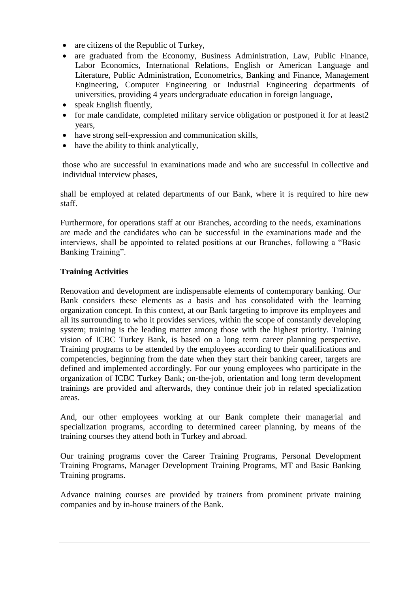- are citizens of the Republic of Turkey,
- are graduated from the Economy, Business Administration, Law, Public Finance, Labor Economics, International Relations, English or American Language and Literature, Public Administration, Econometrics, Banking and Finance, Management Engineering, Computer Engineering or Industrial Engineering departments of universities, providing 4 years undergraduate education in foreign language,
- speak English fluently.
- for male candidate, completed military service obligation or postponed it for at least2 years,
- have strong self-expression and communication skills,
- have the ability to think analytically,

those who are successful in examinations made and who are successful in collective and individual interview phases,

shall be employed at related departments of our Bank, where it is required to hire new staff.

Furthermore, for operations staff at our Branches, according to the needs, examinations are made and the candidates who can be successful in the examinations made and the interviews, shall be appointed to related positions at our Branches, following a "Basic Banking Training".

# **Training Activities**

Renovation and development are indispensable elements of contemporary banking. Our Bank considers these elements as a basis and has consolidated with the learning organization concept. In this context, at our Bank targeting to improve its employees and all its surrounding to who it provides services, within the scope of constantly developing system; training is the leading matter among those with the highest priority. Training vision of ICBC Turkey Bank, is based on a long term career planning perspective. Training programs to be attended by the employees according to their qualifications and competencies, beginning from the date when they start their banking career, targets are defined and implemented accordingly. For our young employees who participate in the organization of ICBC Turkey Bank; on-the-job, orientation and long term development trainings are provided and afterwards, they continue their job in related specialization areas.

And, our other employees working at our Bank complete their managerial and specialization programs, according to determined career planning, by means of the training courses they attend both in Turkey and abroad.

Our training programs cover the Career Training Programs, Personal Development Training Programs, Manager Development Training Programs, MT and Basic Banking Training programs.

Advance training courses are provided by trainers from prominent private training companies and by in-house trainers of the Bank.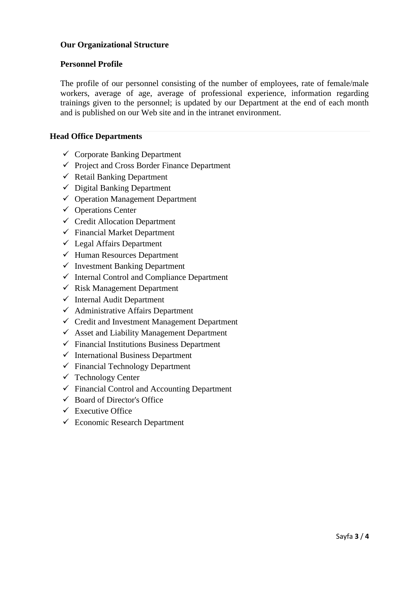# **Our Organizational Structure**

### **Personnel Profile**

The profile of our personnel consisting of the number of employees, rate of female/male workers, average of age, average of professional experience, information regarding trainings given to the personnel; is updated by our Department at the end of each month and is published on our Web site and in the intranet environment.

## **Head Office Departments**

- $\checkmark$  Corporate Banking Department
- $\checkmark$  Project and Cross Border Finance Department
- $\checkmark$  Retail Banking Department
- $\checkmark$  Digital Banking Department
- $\checkmark$  Operation Management Department
- $\checkmark$  Operations Center
- $\checkmark$  Credit Allocation Department
- $\checkmark$  Financial Market Department
- $\checkmark$  Legal Affairs Department
- $\checkmark$  Human Resources Department
- $\checkmark$  Investment Banking Department
- $\checkmark$  Internal Control and Compliance Department
- $\checkmark$  Risk Management Department
- $\checkmark$  Internal Audit Department
- $\checkmark$  Administrative Affairs Department
- $\checkmark$  Credit and Investment Management Department
- $\checkmark$  Asset and Liability Management Department
- $\checkmark$  Financial Institutions Business Department
- $\checkmark$  International Business Department
- $\checkmark$  Financial Technology Department
- $\checkmark$  Technology Center
- $\checkmark$  Financial Control and Accounting Department
- $\checkmark$  Board of Director's Office
- $\checkmark$  Executive Office
- Economic Research Department